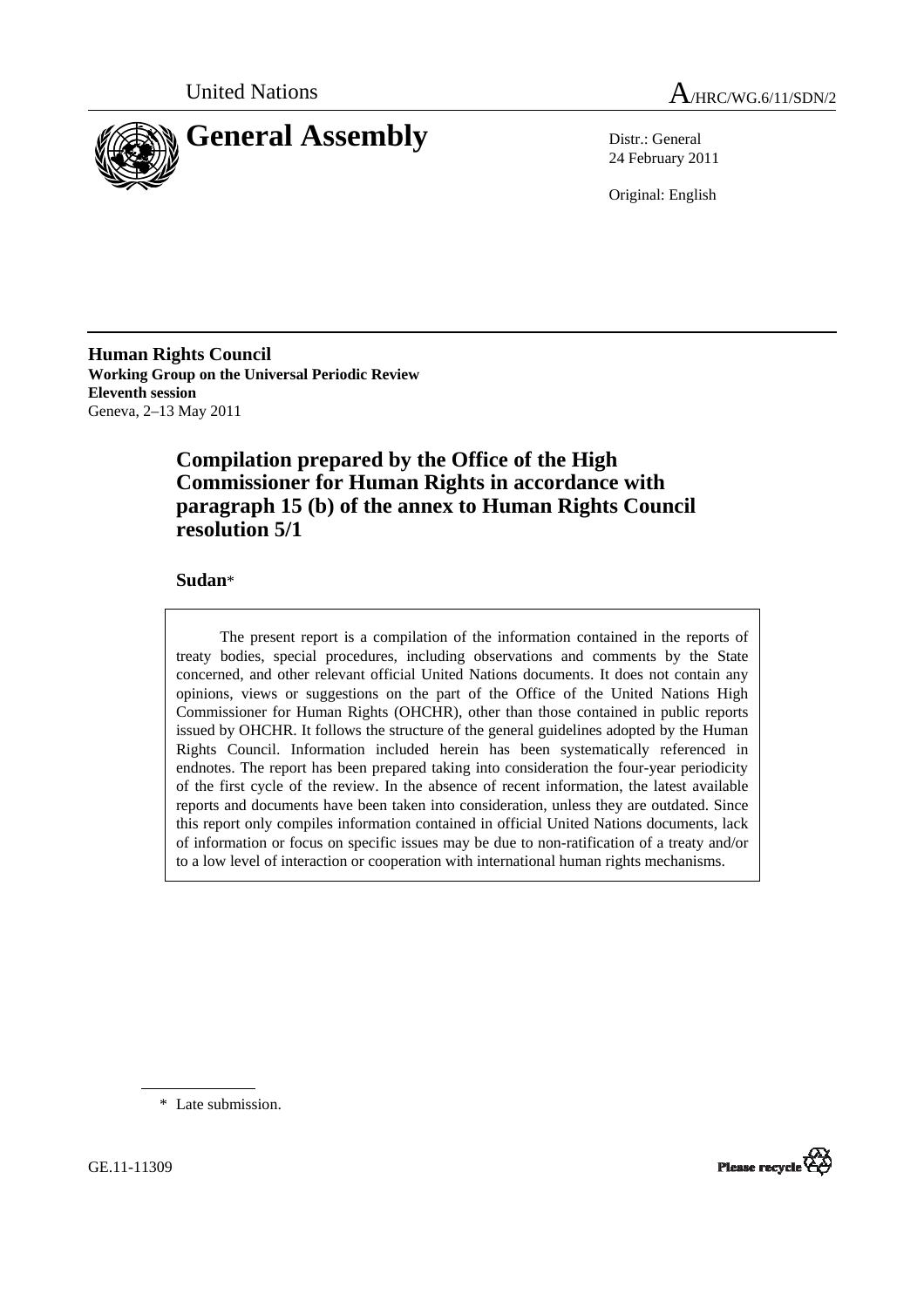



24 February 2011

Original: English

**Human Rights Council Working Group on the Universal Periodic Review Eleventh session**  Geneva, 2–13 May 2011

# **Compilation prepared by the Office of the High Commissioner for Human Rights in accordance with paragraph 15 (b) of the annex to Human Rights Council resolution 5/1**

## **Sudan**\*

The present report is a compilation of the information contained in the reports of treaty bodies, special procedures, including observations and comments by the State concerned, and other relevant official United Nations documents. It does not contain any opinions, views or suggestions on the part of the Office of the United Nations High Commissioner for Human Rights (OHCHR), other than those contained in public reports issued by OHCHR. It follows the structure of the general guidelines adopted by the Human Rights Council. Information included herein has been systematically referenced in endnotes. The report has been prepared taking into consideration the four-year periodicity of the first cycle of the review. In the absence of recent information, the latest available reports and documents have been taken into consideration, unless they are outdated. Since this report only compiles information contained in official United Nations documents, lack of information or focus on specific issues may be due to non-ratification of a treaty and/or to a low level of interaction or cooperation with international human rights mechanisms.

\* Late submission.

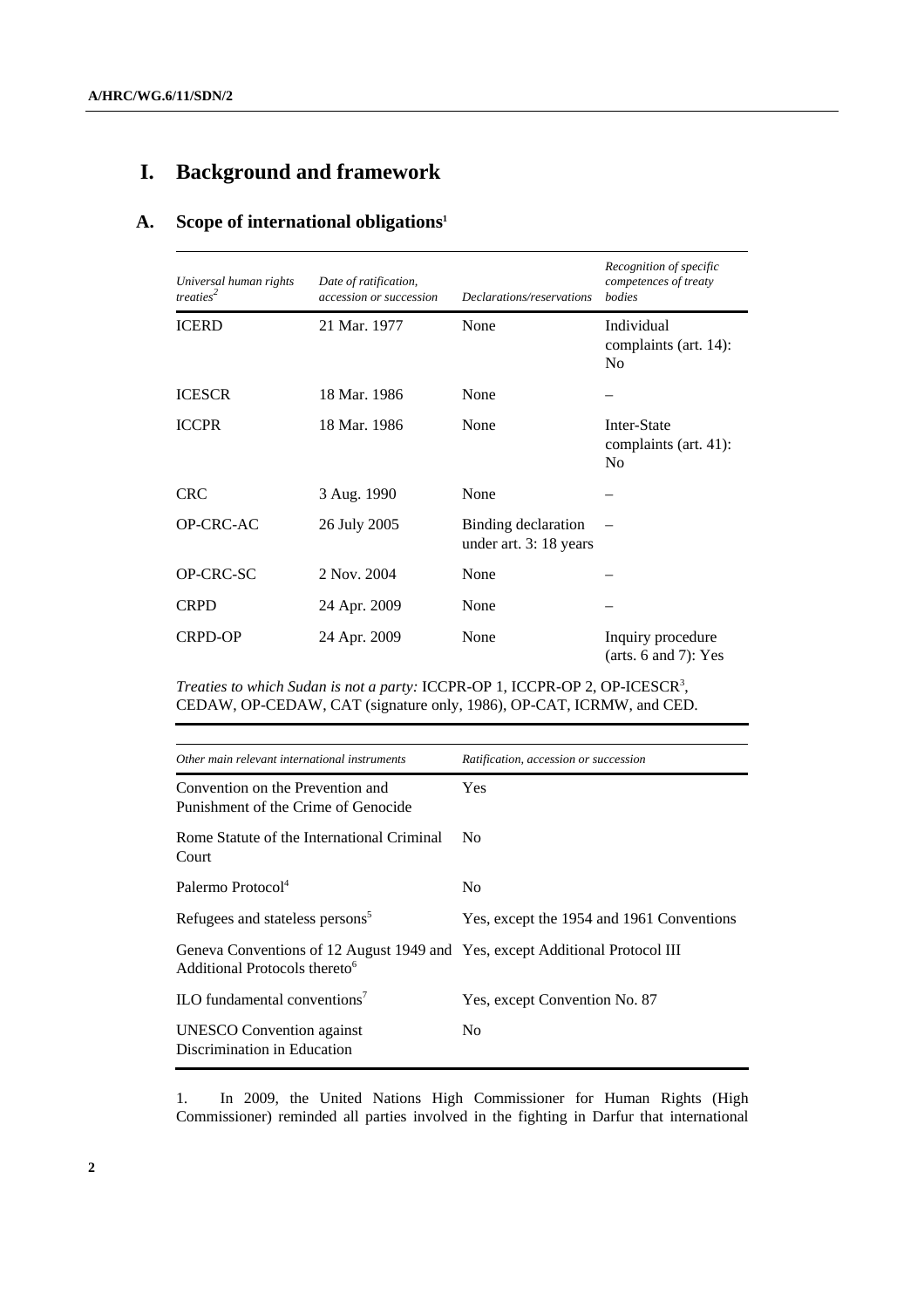# **I. Background and framework**

# **A. Scope of international obligations1**

| Universal human rights<br>treaties <sup>2</sup> | Date of ratification,<br><i>accession or succession</i> | Declarations/reservations                     | Recognition of specific<br>competences of treaty<br><b>bodies</b> |
|-------------------------------------------------|---------------------------------------------------------|-----------------------------------------------|-------------------------------------------------------------------|
| <b>ICERD</b>                                    | 21 Mar. 1977                                            | None                                          | Individual<br>complaints (art. 14):<br>N <sub>0</sub>             |
| <b>ICESCR</b>                                   | 18 Mar. 1986                                            | None                                          |                                                                   |
| <b>ICCPR</b>                                    | 18 Mar. 1986                                            | None                                          | Inter-State<br>complaints (art. 41):<br>N <sub>0</sub>            |
| <b>CRC</b>                                      | 3 Aug. 1990                                             | None                                          |                                                                   |
| OP-CRC-AC                                       | 26 July 2005                                            | Binding declaration<br>under art. 3: 18 years |                                                                   |
| OP-CRC-SC                                       | 2 Nov. 2004                                             | None                                          |                                                                   |
| <b>CRPD</b>                                     | 24 Apr. 2009                                            | None                                          |                                                                   |
| CRPD-OP                                         | 24 Apr. 2009                                            | None                                          | Inquiry procedure<br>(arts. $6$ and $7$ ): Yes                    |

Treaties to which Sudan is not a party: ICCPR-OP 1, ICCPR-OP 2, OP-ICESCR<sup>3</sup>, CEDAW, OP-CEDAW, CAT (signature only, 1986), OP-CAT, ICRMW, and CED.

| Other main relevant international instruments                                                                             | Ratification, accession or succession     |
|---------------------------------------------------------------------------------------------------------------------------|-------------------------------------------|
| Convention on the Prevention and<br>Punishment of the Crime of Genocide                                                   | <b>Yes</b>                                |
| Rome Statute of the International Criminal<br>Court                                                                       | N <sub>0</sub>                            |
| Palermo Protocol <sup>4</sup>                                                                                             | N <sub>0</sub>                            |
| Refugees and stateless persons <sup>5</sup>                                                                               | Yes, except the 1954 and 1961 Conventions |
| Geneva Conventions of 12 August 1949 and Yes, except Additional Protocol III<br>Additional Protocols thereto <sup>6</sup> |                                           |
| ILO fundamental conventions <sup>7</sup>                                                                                  | Yes, except Convention No. 87             |
| <b>UNESCO</b> Convention against<br>Discrimination in Education                                                           | No.                                       |

1. In 2009, the United Nations High Commissioner for Human Rights (High Commissioner) reminded all parties involved in the fighting in Darfur that international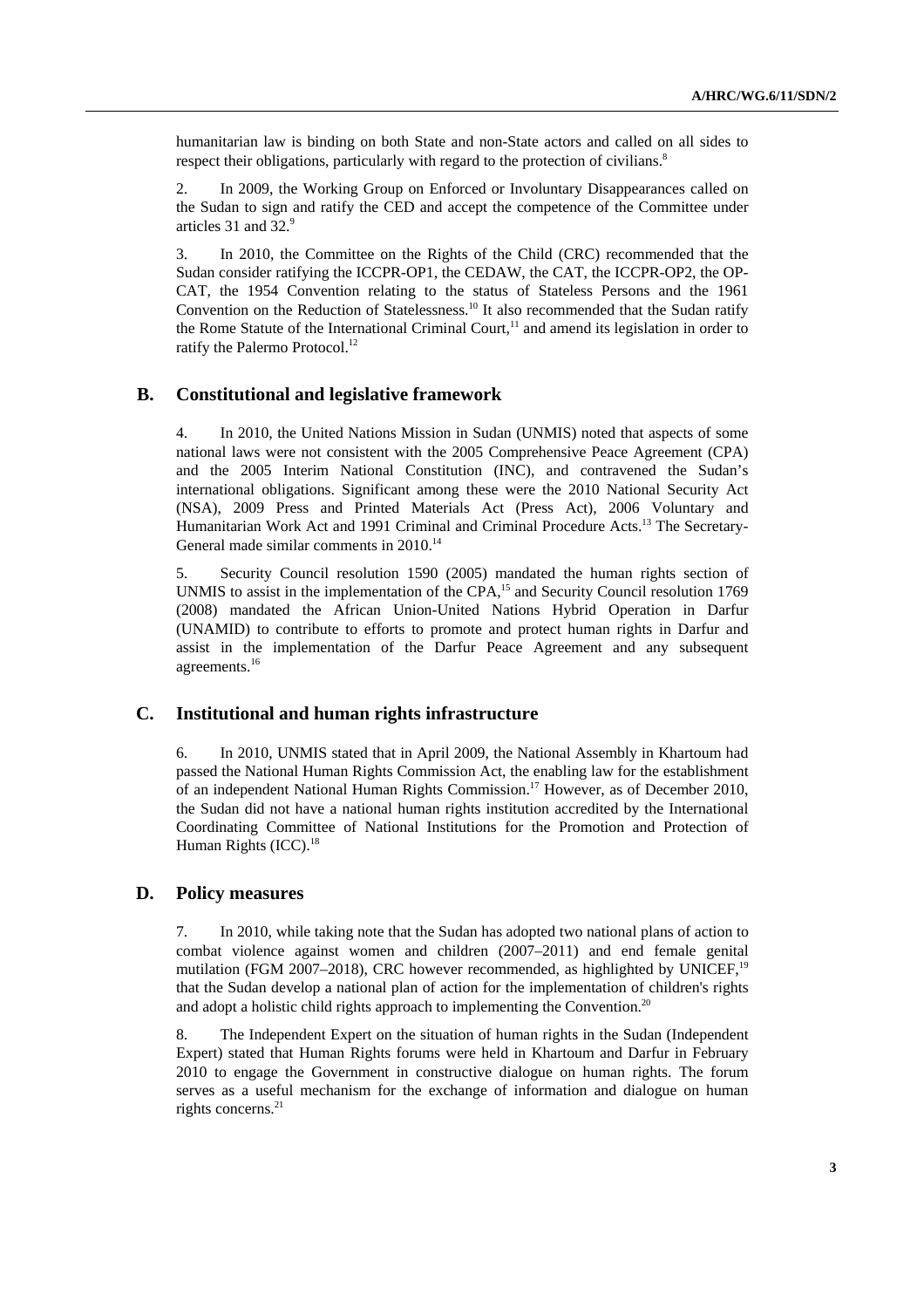humanitarian law is binding on both State and non-State actors and called on all sides to respect their obligations, particularly with regard to the protection of civilians.<sup>8</sup>

2. In 2009, the Working Group on Enforced or Involuntary Disappearances called on the Sudan to sign and ratify the CED and accept the competence of the Committee under articles 31 and 32.9

3. In 2010, the Committee on the Rights of the Child (CRC) recommended that the Sudan consider ratifying the ICCPR-OP1, the CEDAW, the CAT, the ICCPR-OP2, the OP-CAT, the 1954 Convention relating to the status of Stateless Persons and the 1961 Convention on the Reduction of Statelessness.<sup>10</sup> It also recommended that the Sudan ratify the Rome Statute of the International Criminal Court, $<sup>11</sup>$  and amend its legislation in order to</sup> ratify the Palermo Protocol.<sup>12</sup>

## **B. Constitutional and legislative framework**

4. In 2010, the United Nations Mission in Sudan (UNMIS) noted that aspects of some national laws were not consistent with the 2005 Comprehensive Peace Agreement (CPA) and the 2005 Interim National Constitution (INC), and contravened the Sudan's international obligations. Significant among these were the 2010 National Security Act (NSA), 2009 Press and Printed Materials Act (Press Act), 2006 Voluntary and Humanitarian Work Act and 1991 Criminal and Criminal Procedure Acts.13 The Secretary-General made similar comments in 2010.<sup>14</sup>

5. Security Council resolution 1590 (2005) mandated the human rights section of UNMIS to assist in the implementation of the CPA,<sup>15</sup> and Security Council resolution 1769 (2008) mandated the African Union-United Nations Hybrid Operation in Darfur (UNAMID) to contribute to efforts to promote and protect human rights in Darfur and assist in the implementation of the Darfur Peace Agreement and any subsequent agreements.<sup>16</sup>

## **C. Institutional and human rights infrastructure**

6. In 2010, UNMIS stated that in April 2009, the National Assembly in Khartoum had passed the National Human Rights Commission Act, the enabling law for the establishment of an independent National Human Rights Commission.<sup>17</sup> However, as of December 2010, the Sudan did not have a national human rights institution accredited by the International Coordinating Committee of National Institutions for the Promotion and Protection of Human Rights (ICC).<sup>18</sup>

### **D. Policy measures**

7. In 2010, while taking note that the Sudan has adopted two national plans of action to combat violence against women and children (2007–2011) and end female genital mutilation (FGM 2007–2018), CRC however recommended, as highlighted by UNICEF,<sup>19</sup> that the Sudan develop a national plan of action for the implementation of children's rights and adopt a holistic child rights approach to implementing the Convention.<sup>20</sup>

8. The Independent Expert on the situation of human rights in the Sudan (Independent Expert) stated that Human Rights forums were held in Khartoum and Darfur in February 2010 to engage the Government in constructive dialogue on human rights. The forum serves as a useful mechanism for the exchange of information and dialogue on human rights concerns.<sup>21</sup>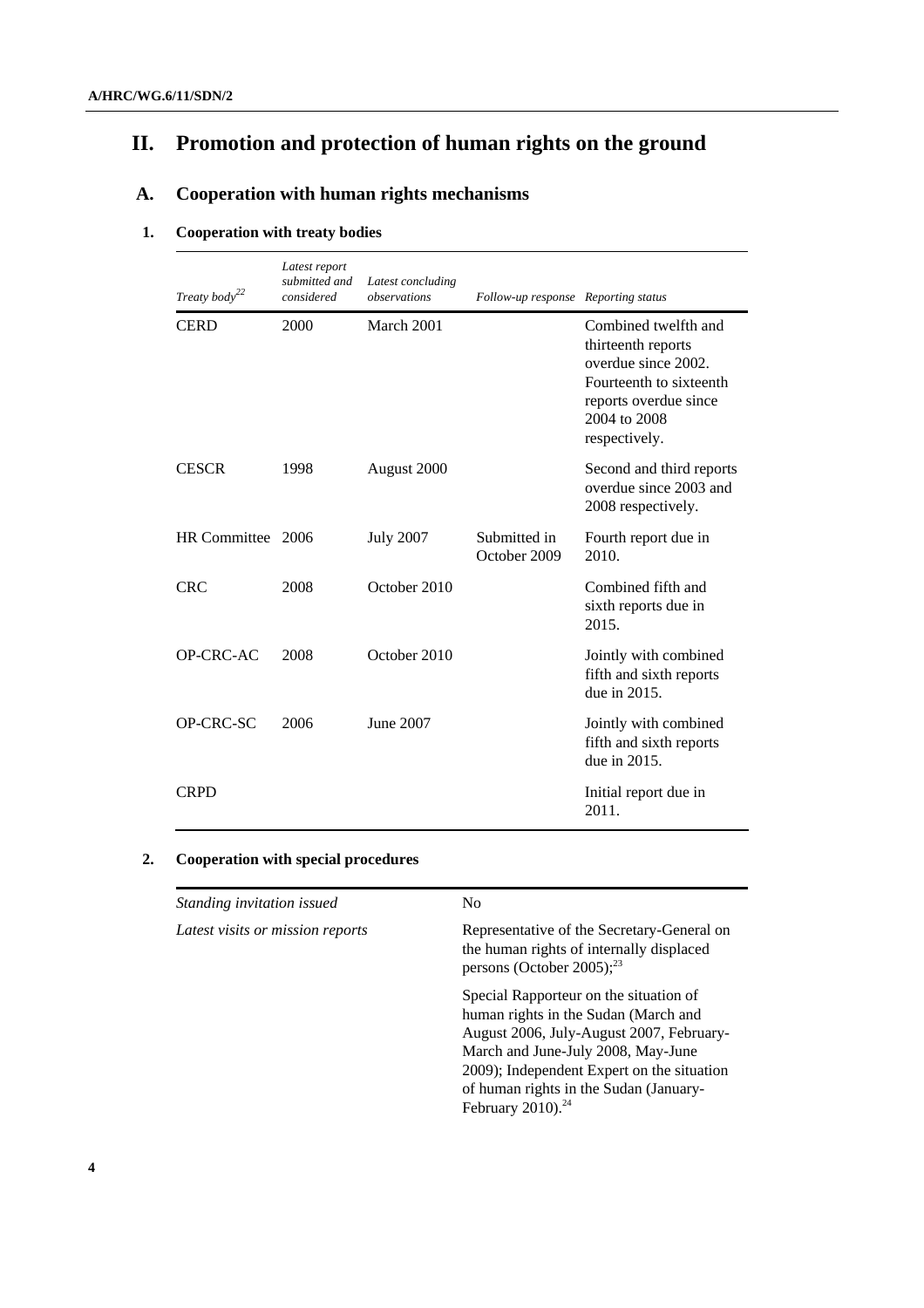# **II. Promotion and protection of human rights on the ground**

# **A. Cooperation with human rights mechanisms**

## **1. Cooperation with treaty bodies**

| Treaty body <sup>22</sup> | Latest report<br>submitted and<br>considered | Latest concluding<br>observations | Follow-up response Reporting status |                                                                                                                                                        |
|---------------------------|----------------------------------------------|-----------------------------------|-------------------------------------|--------------------------------------------------------------------------------------------------------------------------------------------------------|
| <b>CERD</b>               | 2000                                         | March 2001                        |                                     | Combined twelfth and<br>thirteenth reports<br>overdue since 2002.<br>Fourteenth to sixteenth<br>reports overdue since<br>2004 to 2008<br>respectively. |
| <b>CESCR</b>              | 1998                                         | August 2000                       |                                     | Second and third reports<br>overdue since 2003 and<br>2008 respectively.                                                                               |
| HR Committee 2006         |                                              | <b>July 2007</b>                  | Submitted in<br>October 2009        | Fourth report due in<br>2010.                                                                                                                          |
| <b>CRC</b>                | 2008                                         | October 2010                      |                                     | Combined fifth and<br>sixth reports due in<br>2015.                                                                                                    |
| OP-CRC-AC                 | 2008                                         | October 2010                      |                                     | Jointly with combined<br>fifth and sixth reports<br>due in 2015.                                                                                       |
| OP-CRC-SC                 | 2006                                         | June 2007                         |                                     | Jointly with combined<br>fifth and sixth reports<br>due in 2015.                                                                                       |
| <b>CRPD</b>               |                                              |                                   |                                     | Initial report due in<br>2011.                                                                                                                         |

## **2. Cooperation with special procedures**

| Standing invitation issued       | N <sub>0</sub>                                                                                                                                                                                                                                                                               |  |
|----------------------------------|----------------------------------------------------------------------------------------------------------------------------------------------------------------------------------------------------------------------------------------------------------------------------------------------|--|
| Latest visits or mission reports | Representative of the Secretary-General on<br>the human rights of internally displaced<br>persons (October 2005); $^{23}$                                                                                                                                                                    |  |
|                                  | Special Rapporteur on the situation of<br>human rights in the Sudan (March and<br>August 2006, July-August 2007, February-<br>March and June-July 2008, May-June<br>2009); Independent Expert on the situation<br>of human rights in the Sudan (January-<br>February $2010$ ). <sup>24</sup> |  |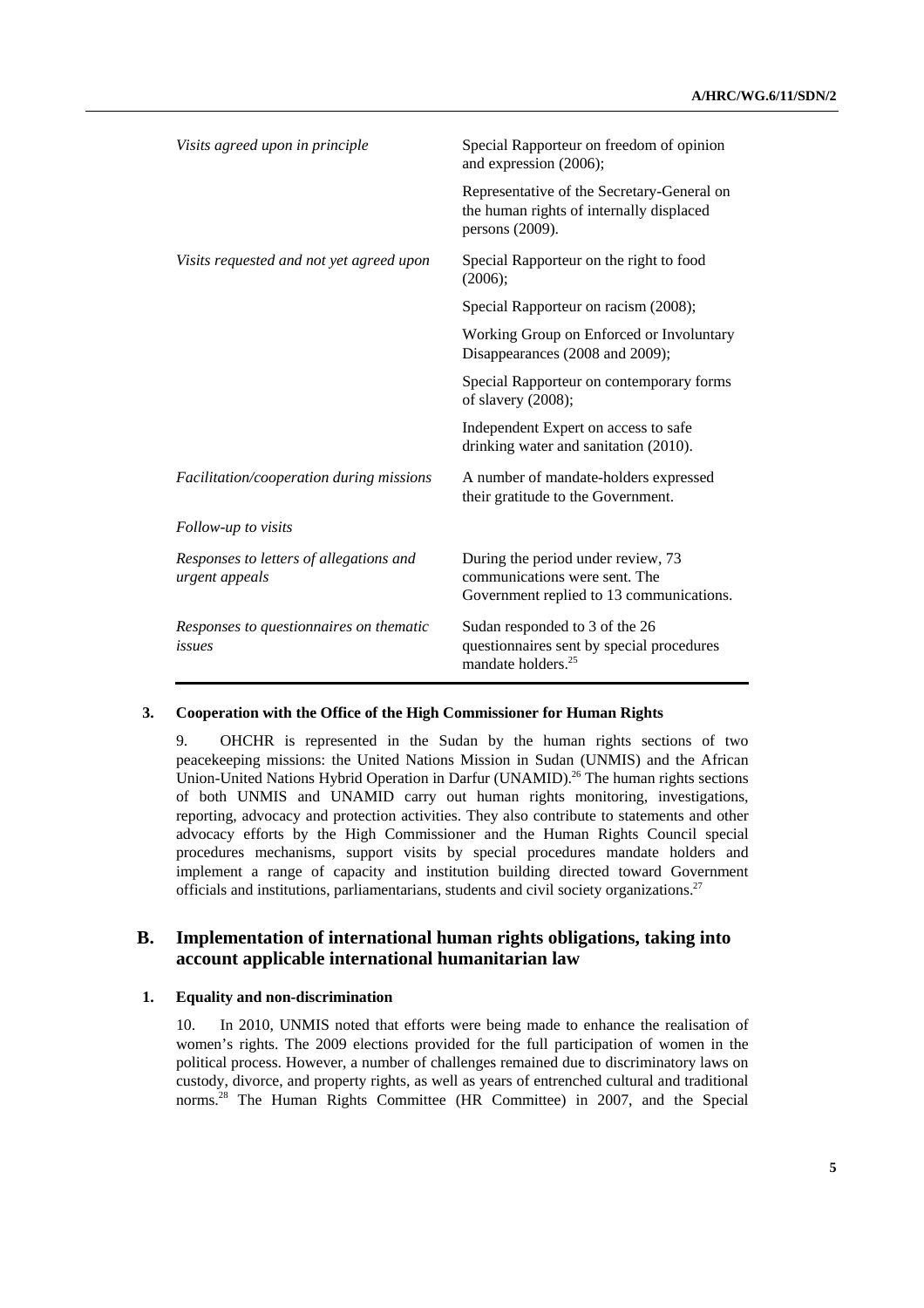| Visits agreed upon in principle                           | Special Rapporteur on freedom of opinion<br>and expression (2006);                                              |  |
|-----------------------------------------------------------|-----------------------------------------------------------------------------------------------------------------|--|
|                                                           | Representative of the Secretary-General on<br>the human rights of internally displaced<br>persons (2009).       |  |
| Visits requested and not yet agreed upon                  | Special Rapporteur on the right to food<br>(2006);                                                              |  |
|                                                           | Special Rapporteur on racism (2008);                                                                            |  |
|                                                           | Working Group on Enforced or Involuntary<br>Disappearances (2008 and 2009);                                     |  |
|                                                           | Special Rapporteur on contemporary forms<br>of slavery (2008);                                                  |  |
|                                                           | Independent Expert on access to safe<br>drinking water and sanitation (2010).                                   |  |
| Facilitation/cooperation during missions                  | A number of mandate-holders expressed<br>their gratitude to the Government.                                     |  |
| Follow-up to visits                                       |                                                                                                                 |  |
| Responses to letters of allegations and<br>urgent appeals | During the period under review, 73<br>communications were sent. The<br>Government replied to 13 communications. |  |
| Responses to questionnaires on thematic<br>issues         | Sudan responded to 3 of the 26<br>questionnaires sent by special procedures<br>mandate holders. <sup>25</sup>   |  |

## **3. Cooperation with the Office of the High Commissioner for Human Rights**

9. OHCHR is represented in the Sudan by the human rights sections of two peacekeeping missions: the United Nations Mission in Sudan (UNMIS) and the African Union-United Nations Hybrid Operation in Darfur (UNAMID).<sup>26</sup> The human rights sections of both UNMIS and UNAMID carry out human rights monitoring, investigations, reporting, advocacy and protection activities. They also contribute to statements and other advocacy efforts by the High Commissioner and the Human Rights Council special procedures mechanisms, support visits by special procedures mandate holders and implement a range of capacity and institution building directed toward Government officials and institutions, parliamentarians, students and civil society organizations.<sup>27</sup>

## **B. Implementation of international human rights obligations, taking into account applicable international humanitarian law**

#### **1. Equality and non-discrimination**

10. In 2010, UNMIS noted that efforts were being made to enhance the realisation of women's rights. The 2009 elections provided for the full participation of women in the political process. However, a number of challenges remained due to discriminatory laws on custody, divorce, and property rights, as well as years of entrenched cultural and traditional norms.28 The Human Rights Committee (HR Committee) in 2007, and the Special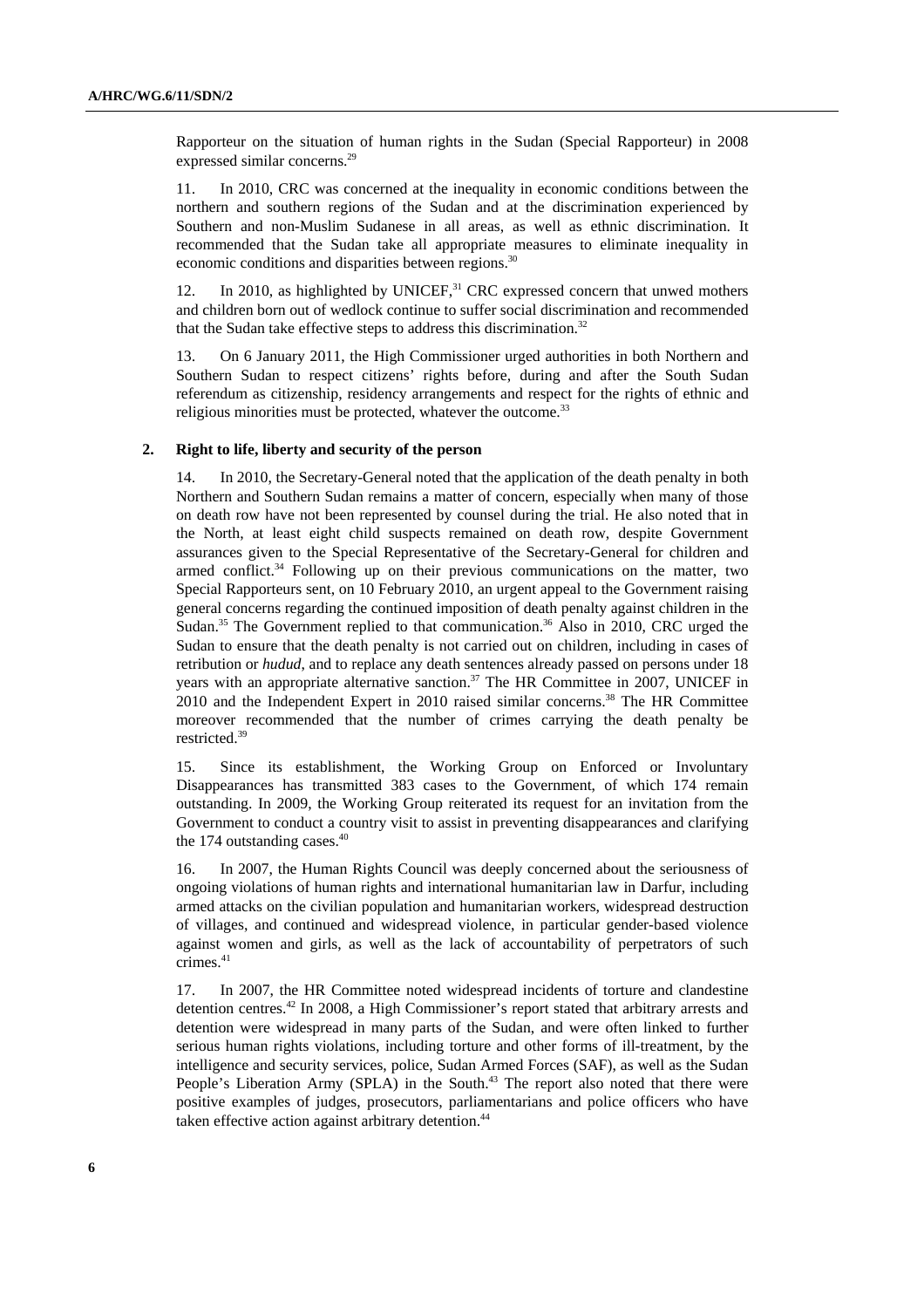Rapporteur on the situation of human rights in the Sudan (Special Rapporteur) in 2008 expressed similar concerns.<sup>29</sup>

11. In 2010, CRC was concerned at the inequality in economic conditions between the northern and southern regions of the Sudan and at the discrimination experienced by Southern and non-Muslim Sudanese in all areas, as well as ethnic discrimination. It recommended that the Sudan take all appropriate measures to eliminate inequality in economic conditions and disparities between regions.<sup>30</sup>

12. In 2010, as highlighted by UNICEF, $31$  CRC expressed concern that unwed mothers and children born out of wedlock continue to suffer social discrimination and recommended that the Sudan take effective steps to address this discrimination.<sup>32</sup>

13. On 6 January 2011, the High Commissioner urged authorities in both Northern and Southern Sudan to respect citizens' rights before, during and after the South Sudan referendum as citizenship, residency arrangements and respect for the rights of ethnic and religious minorities must be protected, whatever the outcome.<sup>33</sup>

### **2. Right to life, liberty and security of the person**

14. In 2010, the Secretary-General noted that the application of the death penalty in both Northern and Southern Sudan remains a matter of concern, especially when many of those on death row have not been represented by counsel during the trial. He also noted that in the North, at least eight child suspects remained on death row, despite Government assurances given to the Special Representative of the Secretary-General for children and armed conflict.34 Following up on their previous communications on the matter, two Special Rapporteurs sent, on 10 February 2010, an urgent appeal to the Government raising general concerns regarding the continued imposition of death penalty against children in the Sudan.<sup>35</sup> The Government replied to that communication.<sup>36</sup> Also in 2010, CRC urged the Sudan to ensure that the death penalty is not carried out on children, including in cases of retribution or *hudud*, and to replace any death sentences already passed on persons under 18 years with an appropriate alternative sanction.<sup>37</sup> The HR Committee in 2007, UNICEF in 2010 and the Independent Expert in 2010 raised similar concerns.<sup>38</sup> The HR Committee moreover recommended that the number of crimes carrying the death penalty be restricted.39

15. Since its establishment, the Working Group on Enforced or Involuntary Disappearances has transmitted 383 cases to the Government, of which 174 remain outstanding. In 2009, the Working Group reiterated its request for an invitation from the Government to conduct a country visit to assist in preventing disappearances and clarifying the 174 outstanding cases.<sup>40</sup>

16. In 2007, the Human Rights Council was deeply concerned about the seriousness of ongoing violations of human rights and international humanitarian law in Darfur, including armed attacks on the civilian population and humanitarian workers, widespread destruction of villages, and continued and widespread violence, in particular gender-based violence against women and girls, as well as the lack of accountability of perpetrators of such crimes.<sup>41</sup>

17. In 2007, the HR Committee noted widespread incidents of torture and clandestine detention centres.<sup>42</sup> In 2008, a High Commissioner's report stated that arbitrary arrests and detention were widespread in many parts of the Sudan, and were often linked to further serious human rights violations, including torture and other forms of ill-treatment, by the intelligence and security services, police, Sudan Armed Forces (SAF), as well as the Sudan People's Liberation Army (SPLA) in the South.<sup>43</sup> The report also noted that there were positive examples of judges, prosecutors, parliamentarians and police officers who have taken effective action against arbitrary detention.<sup>44</sup>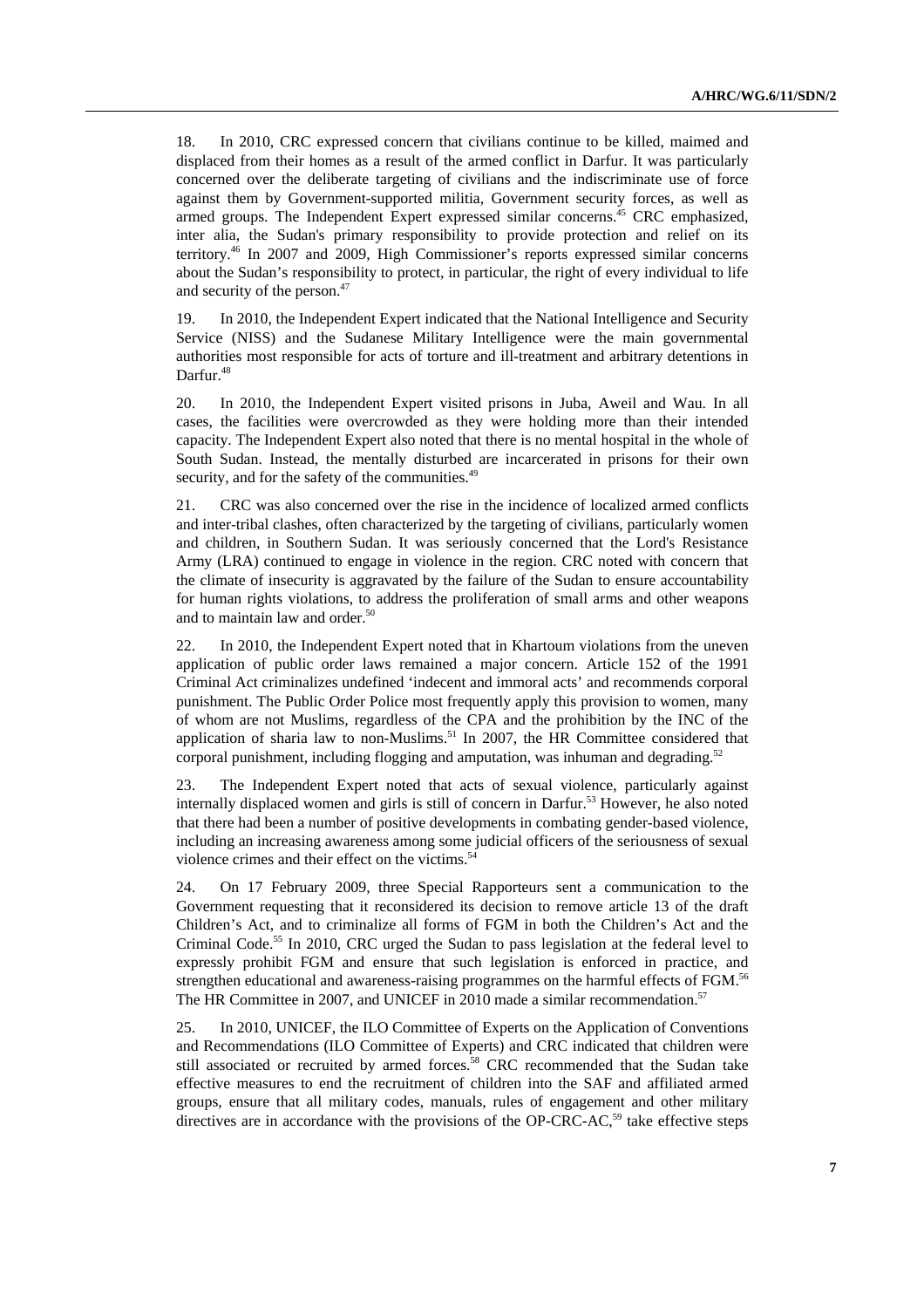18. In 2010, CRC expressed concern that civilians continue to be killed, maimed and displaced from their homes as a result of the armed conflict in Darfur. It was particularly concerned over the deliberate targeting of civilians and the indiscriminate use of force against them by Government-supported militia, Government security forces, as well as armed groups. The Independent Expert expressed similar concerns.<sup>45</sup> CRC emphasized, inter alia, the Sudan's primary responsibility to provide protection and relief on its territory.46 In 2007 and 2009, High Commissioner's reports expressed similar concerns about the Sudan's responsibility to protect, in particular, the right of every individual to life and security of the person.47

19. In 2010, the Independent Expert indicated that the National Intelligence and Security Service (NISS) and the Sudanese Military Intelligence were the main governmental authorities most responsible for acts of torture and ill-treatment and arbitrary detentions in Darfur.<sup>48</sup>

20. In 2010, the Independent Expert visited prisons in Juba, Aweil and Wau. In all cases, the facilities were overcrowded as they were holding more than their intended capacity. The Independent Expert also noted that there is no mental hospital in the whole of South Sudan. Instead, the mentally disturbed are incarcerated in prisons for their own security, and for the safety of the communities.<sup>49</sup>

21. CRC was also concerned over the rise in the incidence of localized armed conflicts and inter-tribal clashes, often characterized by the targeting of civilians, particularly women and children, in Southern Sudan. It was seriously concerned that the Lord's Resistance Army (LRA) continued to engage in violence in the region. CRC noted with concern that the climate of insecurity is aggravated by the failure of the Sudan to ensure accountability for human rights violations, to address the proliferation of small arms and other weapons and to maintain law and order.<sup>50</sup>

22. In 2010, the Independent Expert noted that in Khartoum violations from the uneven application of public order laws remained a major concern. Article 152 of the 1991 Criminal Act criminalizes undefined 'indecent and immoral acts' and recommends corporal punishment. The Public Order Police most frequently apply this provision to women, many of whom are not Muslims, regardless of the CPA and the prohibition by the INC of the application of sharia law to non-Muslims. $51$  In 2007, the HR Committee considered that corporal punishment, including flogging and amputation, was inhuman and degrading.<sup>52</sup>

23. The Independent Expert noted that acts of sexual violence, particularly against internally displaced women and girls is still of concern in Darfur.<sup>53</sup> However, he also noted that there had been a number of positive developments in combating gender-based violence, including an increasing awareness among some judicial officers of the seriousness of sexual violence crimes and their effect on the victims.<sup>54</sup>

24. On 17 February 2009, three Special Rapporteurs sent a communication to the Government requesting that it reconsidered its decision to remove article 13 of the draft Children's Act, and to criminalize all forms of FGM in both the Children's Act and the Criminal Code.<sup>55</sup> In 2010, CRC urged the Sudan to pass legislation at the federal level to expressly prohibit FGM and ensure that such legislation is enforced in practice, and strengthen educational and awareness-raising programmes on the harmful effects of FGM.<sup>56</sup> The HR Committee in 2007, and UNICEF in 2010 made a similar recommendation.<sup>57</sup>

25. In 2010, UNICEF, the ILO Committee of Experts on the Application of Conventions and Recommendations (ILO Committee of Experts) and CRC indicated that children were still associated or recruited by armed forces.<sup>58</sup> CRC recommended that the Sudan take effective measures to end the recruitment of children into the SAF and affiliated armed groups, ensure that all military codes, manuals, rules of engagement and other military directives are in accordance with the provisions of the OP-CRC-AC,<sup>59</sup> take effective steps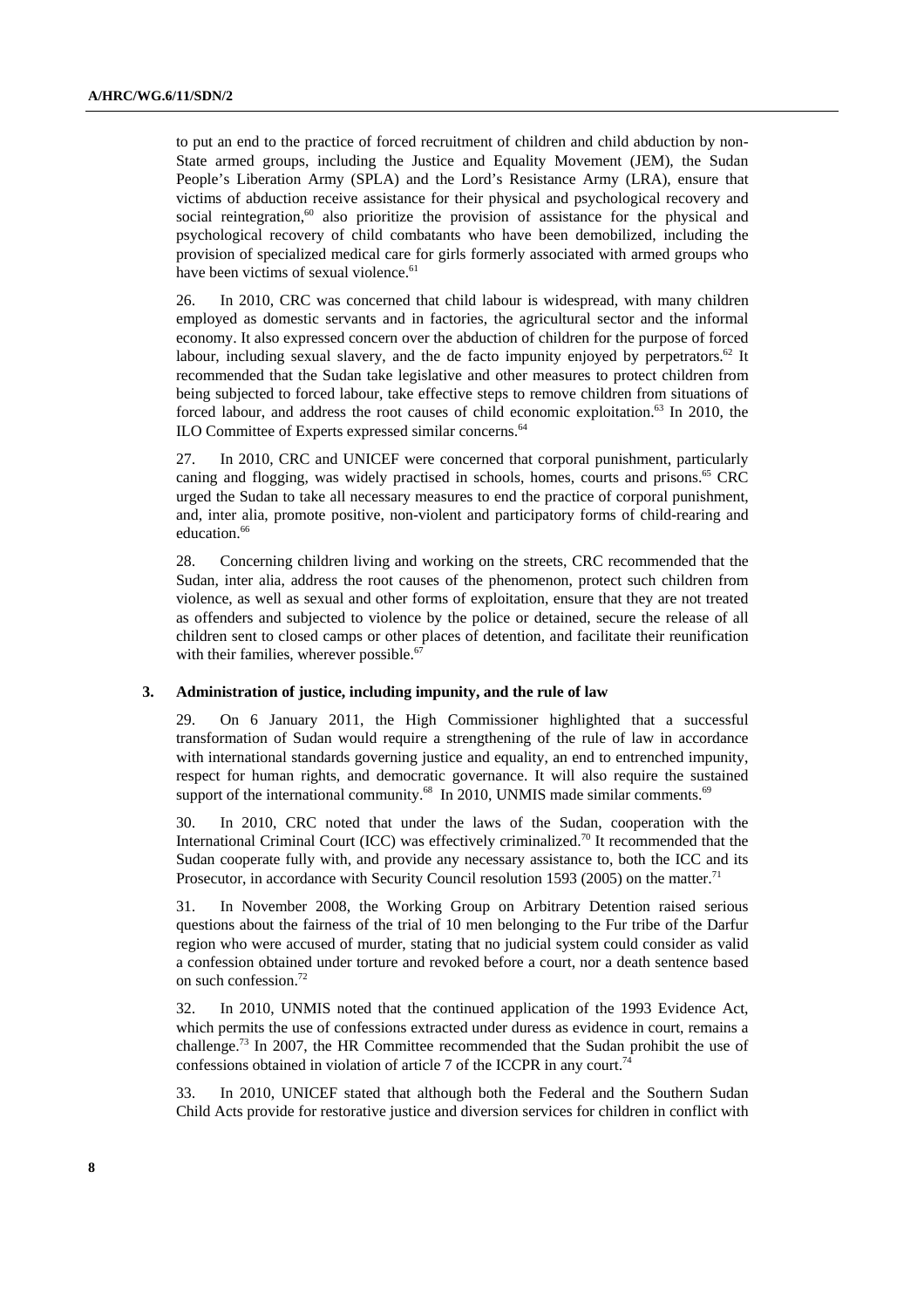to put an end to the practice of forced recruitment of children and child abduction by non-State armed groups, including the Justice and Equality Movement (JEM), the Sudan People's Liberation Army (SPLA) and the Lord's Resistance Army (LRA), ensure that victims of abduction receive assistance for their physical and psychological recovery and social reintegration, $60$  also prioritize the provision of assistance for the physical and psychological recovery of child combatants who have been demobilized, including the provision of specialized medical care for girls formerly associated with armed groups who have been victims of sexual violence.<sup>61</sup>

26. In 2010, CRC was concerned that child labour is widespread, with many children employed as domestic servants and in factories, the agricultural sector and the informal economy. It also expressed concern over the abduction of children for the purpose of forced labour, including sexual slavery, and the de facto impunity enjoyed by perpetrators.<sup>62</sup> It recommended that the Sudan take legislative and other measures to protect children from being subjected to forced labour, take effective steps to remove children from situations of forced labour, and address the root causes of child economic exploitation.<sup>63</sup> In 2010, the ILO Committee of Experts expressed similar concerns.<sup>64</sup>

27. In 2010, CRC and UNICEF were concerned that corporal punishment, particularly caning and flogging, was widely practised in schools, homes, courts and prisons.<sup>65</sup> CRC urged the Sudan to take all necessary measures to end the practice of corporal punishment, and, inter alia, promote positive, non-violent and participatory forms of child-rearing and education.<sup>66</sup>

28. Concerning children living and working on the streets, CRC recommended that the Sudan, inter alia, address the root causes of the phenomenon, protect such children from violence, as well as sexual and other forms of exploitation, ensure that they are not treated as offenders and subjected to violence by the police or detained, secure the release of all children sent to closed camps or other places of detention, and facilitate their reunification with their families, wherever possible. $6$ 

## **3. Administration of justice, including impunity, and the rule of law**

29. On 6 January 2011, the High Commissioner highlighted that a successful transformation of Sudan would require a strengthening of the rule of law in accordance with international standards governing justice and equality, an end to entrenched impunity, respect for human rights, and democratic governance. It will also require the sustained support of the international community.<sup>68</sup> In 2010, UNMIS made similar comments.<sup>69</sup>

30. In 2010, CRC noted that under the laws of the Sudan, cooperation with the International Criminal Court (ICC) was effectively criminalized.70 It recommended that the Sudan cooperate fully with, and provide any necessary assistance to, both the ICC and its Prosecutor, in accordance with Security Council resolution 1593 (2005) on the matter.<sup>71</sup>

31. In November 2008, the Working Group on Arbitrary Detention raised serious questions about the fairness of the trial of 10 men belonging to the Fur tribe of the Darfur region who were accused of murder, stating that no judicial system could consider as valid a confession obtained under torture and revoked before a court, nor a death sentence based on such confession.72

32. In 2010, UNMIS noted that the continued application of the 1993 Evidence Act, which permits the use of confessions extracted under duress as evidence in court, remains a challenge.73 In 2007, the HR Committee recommended that the Sudan prohibit the use of confessions obtained in violation of article 7 of the ICCPR in any court.<sup>74</sup>

33. In 2010, UNICEF stated that although both the Federal and the Southern Sudan Child Acts provide for restorative justice and diversion services for children in conflict with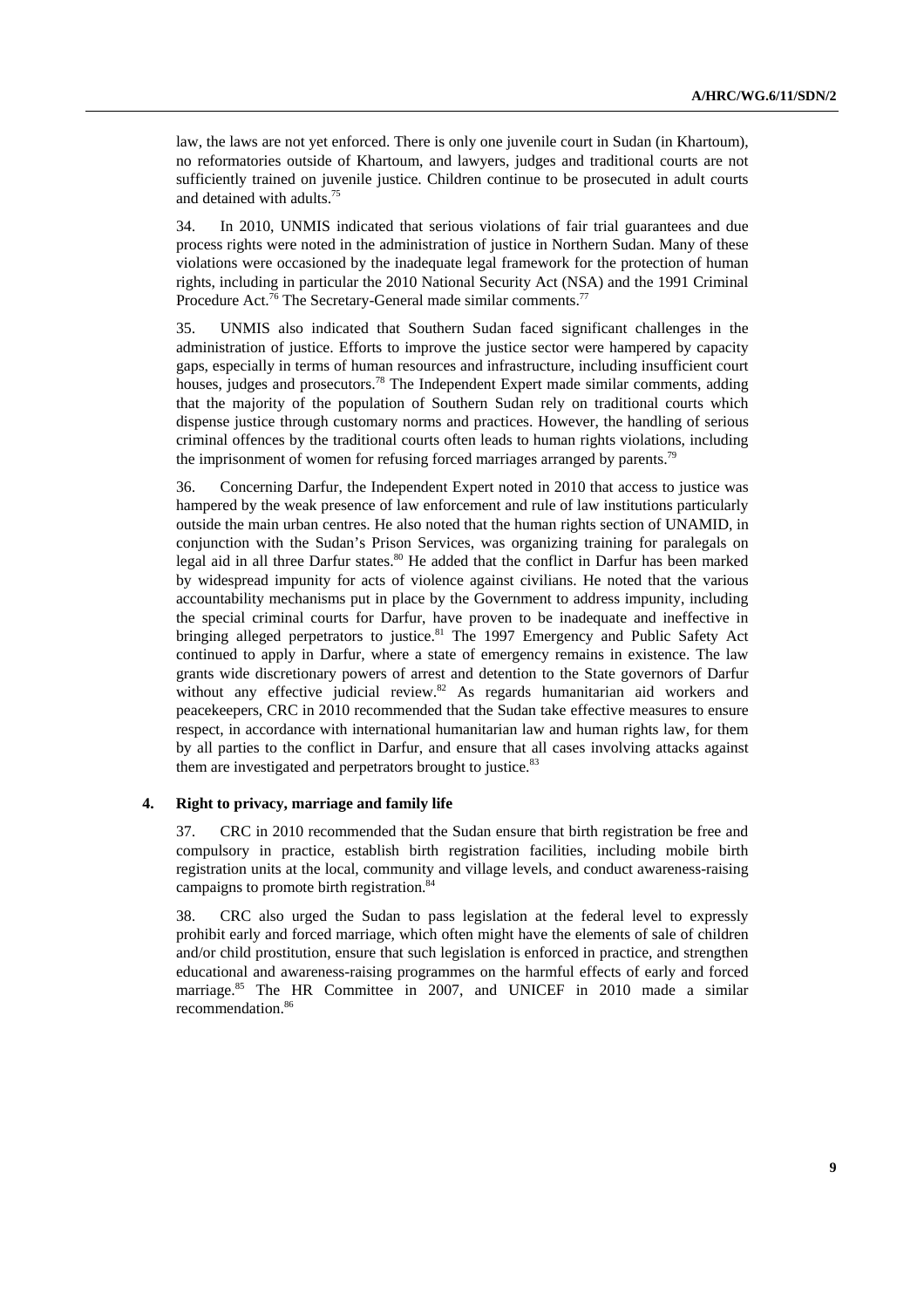law, the laws are not yet enforced. There is only one juvenile court in Sudan (in Khartoum), no reformatories outside of Khartoum, and lawyers, judges and traditional courts are not sufficiently trained on juvenile justice. Children continue to be prosecuted in adult courts and detained with adults.75

34. In 2010, UNMIS indicated that serious violations of fair trial guarantees and due process rights were noted in the administration of justice in Northern Sudan. Many of these violations were occasioned by the inadequate legal framework for the protection of human rights, including in particular the 2010 National Security Act (NSA) and the 1991 Criminal Procedure Act.<sup>76</sup> The Secretary-General made similar comments.<sup>77</sup>

35. UNMIS also indicated that Southern Sudan faced significant challenges in the administration of justice. Efforts to improve the justice sector were hampered by capacity gaps, especially in terms of human resources and infrastructure, including insufficient court houses, judges and prosecutors.<sup>78</sup> The Independent Expert made similar comments, adding that the majority of the population of Southern Sudan rely on traditional courts which dispense justice through customary norms and practices. However, the handling of serious criminal offences by the traditional courts often leads to human rights violations, including the imprisonment of women for refusing forced marriages arranged by parents.<sup>79</sup>

36. Concerning Darfur, the Independent Expert noted in 2010 that access to justice was hampered by the weak presence of law enforcement and rule of law institutions particularly outside the main urban centres. He also noted that the human rights section of UNAMID, in conjunction with the Sudan's Prison Services, was organizing training for paralegals on legal aid in all three Darfur states.<sup>80</sup> He added that the conflict in Darfur has been marked by widespread impunity for acts of violence against civilians. He noted that the various accountability mechanisms put in place by the Government to address impunity, including the special criminal courts for Darfur, have proven to be inadequate and ineffective in bringing alleged perpetrators to justice.<sup>81</sup> The 1997 Emergency and Public Safety Act continued to apply in Darfur, where a state of emergency remains in existence. The law grants wide discretionary powers of arrest and detention to the State governors of Darfur without any effective judicial review. $82$  As regards humanitarian aid workers and peacekeepers, CRC in 2010 recommended that the Sudan take effective measures to ensure respect, in accordance with international humanitarian law and human rights law, for them by all parties to the conflict in Darfur, and ensure that all cases involving attacks against them are investigated and perpetrators brought to justice.<sup>83</sup>

#### **4. Right to privacy, marriage and family life**

37. CRC in 2010 recommended that the Sudan ensure that birth registration be free and compulsory in practice, establish birth registration facilities, including mobile birth registration units at the local, community and village levels, and conduct awareness-raising campaigns to promote birth registration.<sup>8</sup>

38. CRC also urged the Sudan to pass legislation at the federal level to expressly prohibit early and forced marriage, which often might have the elements of sale of children and/or child prostitution, ensure that such legislation is enforced in practice, and strengthen educational and awareness-raising programmes on the harmful effects of early and forced marriage.<sup>85</sup> The HR Committee in 2007, and UNICEF in 2010 made a similar recommendation.86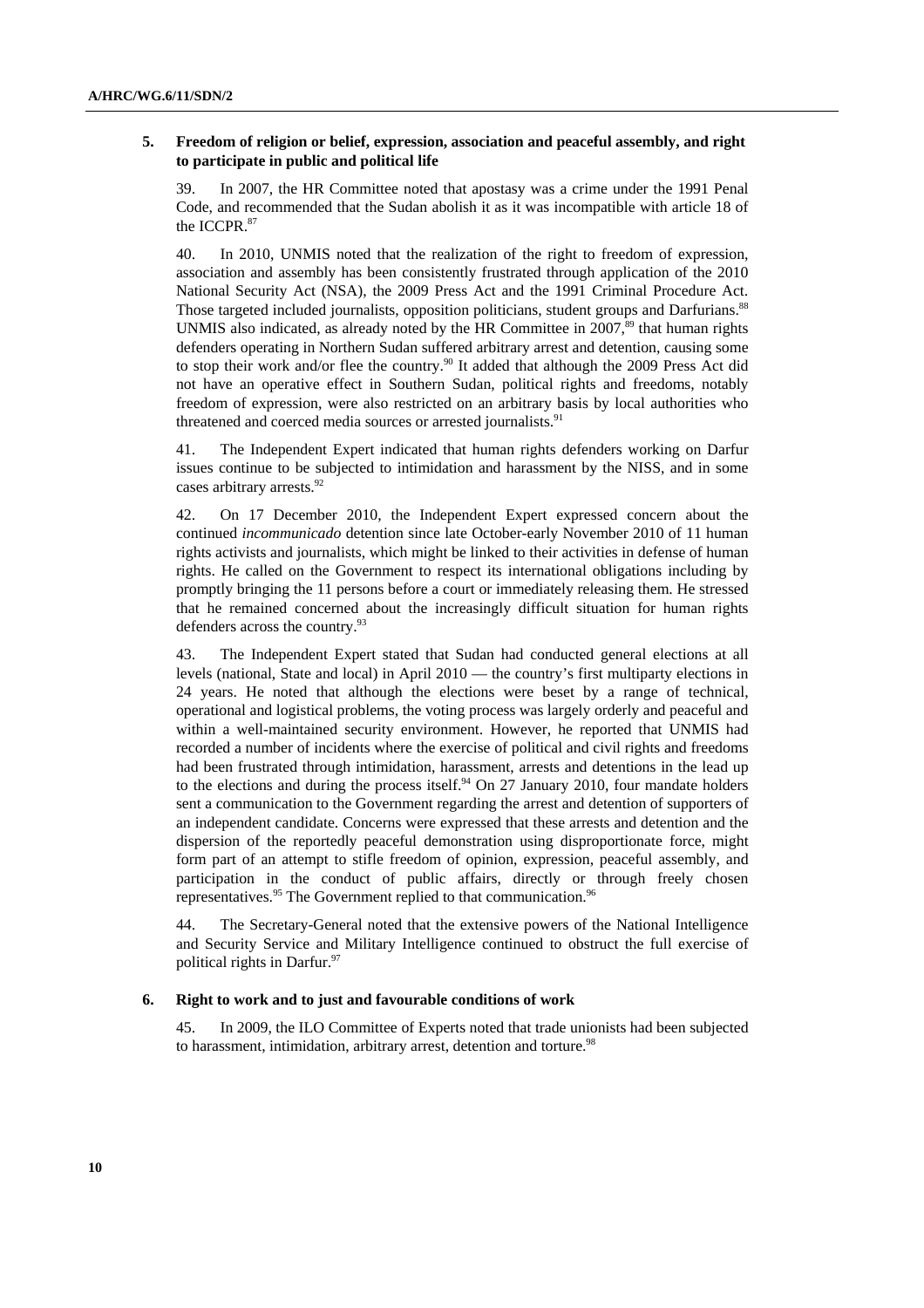### **5. Freedom of religion or belief, expression, association and peaceful assembly, and right to participate in public and political life**

39. In 2007, the HR Committee noted that apostasy was a crime under the 1991 Penal Code, and recommended that the Sudan abolish it as it was incompatible with article 18 of the ICCPR.<sup>87</sup>

40. In 2010, UNMIS noted that the realization of the right to freedom of expression, association and assembly has been consistently frustrated through application of the 2010 National Security Act (NSA), the 2009 Press Act and the 1991 Criminal Procedure Act. Those targeted included journalists, opposition politicians, student groups and Darfurians.<sup>88</sup> UNMIS also indicated, as already noted by the HR Committee in  $2007$ ,<sup>89</sup> that human rights defenders operating in Northern Sudan suffered arbitrary arrest and detention, causing some to stop their work and/or flee the country.<sup>90</sup> It added that although the 2009 Press Act did not have an operative effect in Southern Sudan, political rights and freedoms, notably freedom of expression, were also restricted on an arbitrary basis by local authorities who threatened and coerced media sources or arrested journalists.<sup>91</sup>

41. The Independent Expert indicated that human rights defenders working on Darfur issues continue to be subjected to intimidation and harassment by the NISS, and in some cases arbitrary arrests.<sup>92</sup>

42. On 17 December 2010, the Independent Expert expressed concern about the continued *incommunicado* detention since late October-early November 2010 of 11 human rights activists and journalists, which might be linked to their activities in defense of human rights. He called on the Government to respect its international obligations including by promptly bringing the 11 persons before a court or immediately releasing them. He stressed that he remained concerned about the increasingly difficult situation for human rights defenders across the country.<sup>93</sup>

43. The Independent Expert stated that Sudan had conducted general elections at all levels (national, State and local) in April 2010 — the country's first multiparty elections in 24 years. He noted that although the elections were beset by a range of technical, operational and logistical problems, the voting process was largely orderly and peaceful and within a well-maintained security environment. However, he reported that UNMIS had recorded a number of incidents where the exercise of political and civil rights and freedoms had been frustrated through intimidation, harassment, arrests and detentions in the lead up to the elections and during the process itself. $94$  On 27 January 2010, four mandate holders sent a communication to the Government regarding the arrest and detention of supporters of an independent candidate. Concerns were expressed that these arrests and detention and the dispersion of the reportedly peaceful demonstration using disproportionate force, might form part of an attempt to stifle freedom of opinion, expression, peaceful assembly, and participation in the conduct of public affairs, directly or through freely chosen representatives.<sup>95</sup> The Government replied to that communication.<sup>96</sup>

44. The Secretary-General noted that the extensive powers of the National Intelligence and Security Service and Military Intelligence continued to obstruct the full exercise of political rights in Darfur.97

### **6. Right to work and to just and favourable conditions of work**

45. In 2009, the ILO Committee of Experts noted that trade unionists had been subjected to harassment, intimidation, arbitrary arrest, detention and torture.<sup>98</sup>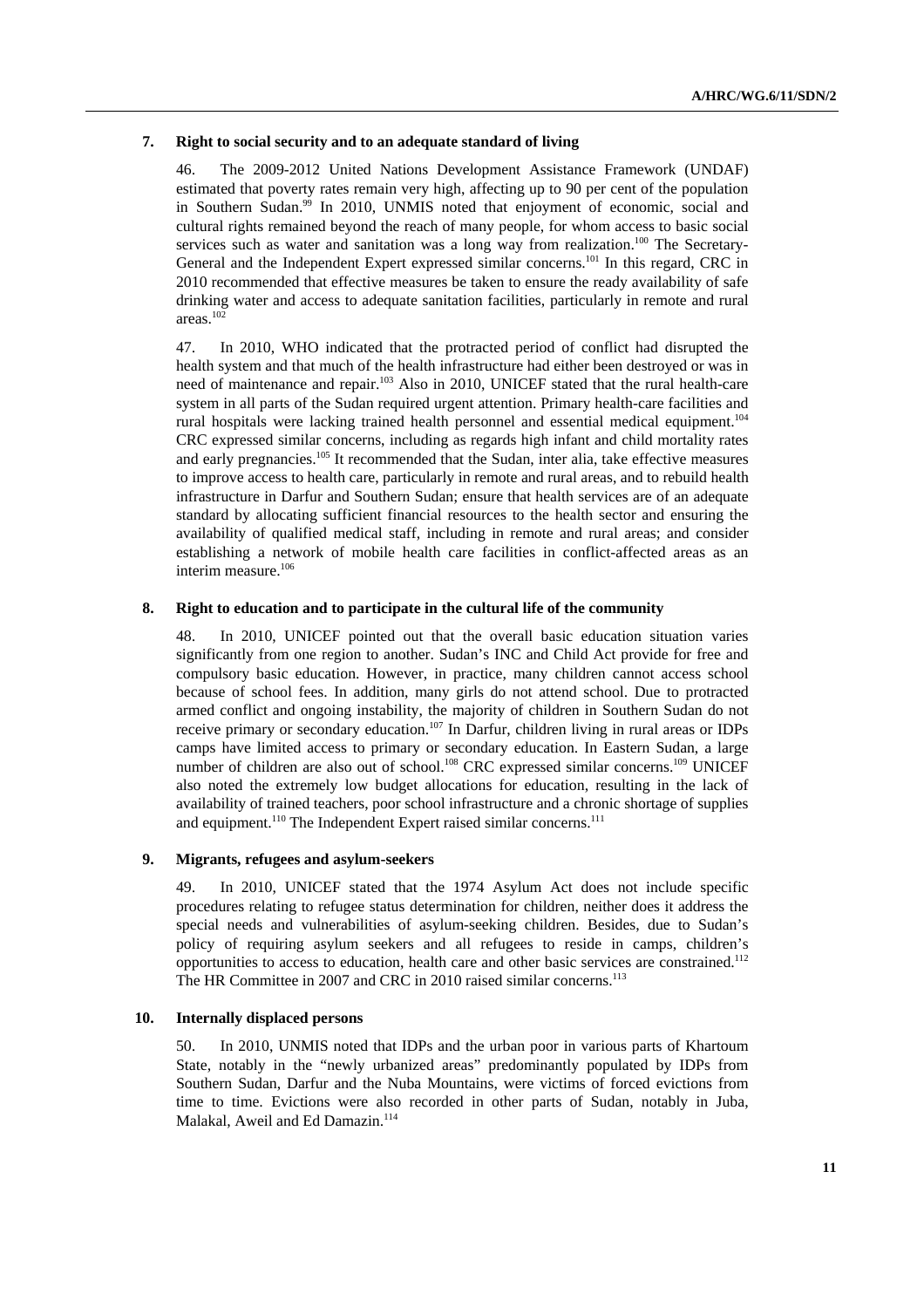#### **7. Right to social security and to an adequate standard of living**

46. The 2009-2012 United Nations Development Assistance Framework (UNDAF) estimated that poverty rates remain very high, affecting up to 90 per cent of the population in Southern Sudan.<sup>99</sup> In 2010, UNMIS noted that enjoyment of economic, social and cultural rights remained beyond the reach of many people, for whom access to basic social services such as water and sanitation was a long way from realization.<sup>100</sup> The Secretary-General and the Independent Expert expressed similar concerns.<sup>101</sup> In this regard, CRC in 2010 recommended that effective measures be taken to ensure the ready availability of safe drinking water and access to adequate sanitation facilities, particularly in remote and rural areas.102

47. In 2010, WHO indicated that the protracted period of conflict had disrupted the health system and that much of the health infrastructure had either been destroyed or was in need of maintenance and repair.<sup>103</sup> Also in 2010, UNICEF stated that the rural health-care system in all parts of the Sudan required urgent attention. Primary health-care facilities and rural hospitals were lacking trained health personnel and essential medical equipment.<sup>104</sup> CRC expressed similar concerns, including as regards high infant and child mortality rates and early pregnancies.<sup>105</sup> It recommended that the Sudan, inter alia, take effective measures to improve access to health care, particularly in remote and rural areas, and to rebuild health infrastructure in Darfur and Southern Sudan; ensure that health services are of an adequate standard by allocating sufficient financial resources to the health sector and ensuring the availability of qualified medical staff, including in remote and rural areas; and consider establishing a network of mobile health care facilities in conflict-affected areas as an interim measure.<sup>106</sup>

#### **8. Right to education and to participate in the cultural life of the community**

48. In 2010, UNICEF pointed out that the overall basic education situation varies significantly from one region to another. Sudan's INC and Child Act provide for free and compulsory basic education. However, in practice, many children cannot access school because of school fees. In addition, many girls do not attend school. Due to protracted armed conflict and ongoing instability, the majority of children in Southern Sudan do not receive primary or secondary education.<sup>107</sup> In Darfur, children living in rural areas or IDPs camps have limited access to primary or secondary education. In Eastern Sudan, a large number of children are also out of school.<sup>108</sup> CRC expressed similar concerns.<sup>109</sup> UNICEF also noted the extremely low budget allocations for education, resulting in the lack of availability of trained teachers, poor school infrastructure and a chronic shortage of supplies and equipment.<sup>110</sup> The Independent Expert raised similar concerns.<sup>111</sup>

## **9. Migrants, refugees and asylum-seekers**

49. In 2010, UNICEF stated that the 1974 Asylum Act does not include specific procedures relating to refugee status determination for children, neither does it address the special needs and vulnerabilities of asylum-seeking children. Besides, due to Sudan's policy of requiring asylum seekers and all refugees to reside in camps, children's opportunities to access to education, health care and other basic services are constrained.112 The HR Committee in 2007 and CRC in 2010 raised similar concerns.<sup>113</sup>

#### **10. Internally displaced persons**

50. In 2010, UNMIS noted that IDPs and the urban poor in various parts of Khartoum State, notably in the "newly urbanized areas" predominantly populated by IDPs from Southern Sudan, Darfur and the Nuba Mountains, were victims of forced evictions from time to time. Evictions were also recorded in other parts of Sudan, notably in Juba, Malakal, Aweil and Ed Damazin.<sup>114</sup>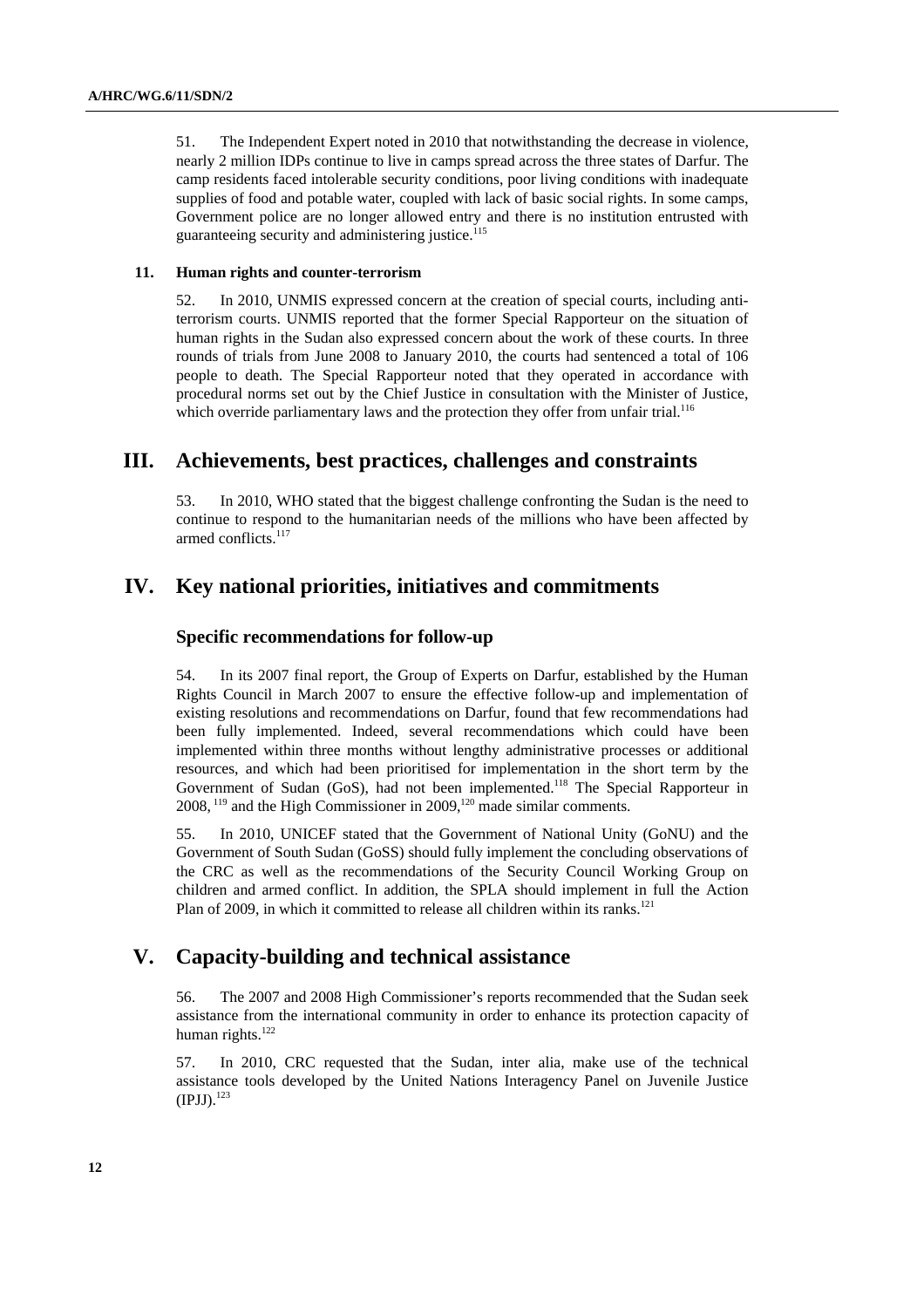51. The Independent Expert noted in 2010 that notwithstanding the decrease in violence, nearly 2 million IDPs continue to live in camps spread across the three states of Darfur. The camp residents faced intolerable security conditions, poor living conditions with inadequate supplies of food and potable water, coupled with lack of basic social rights. In some camps, Government police are no longer allowed entry and there is no institution entrusted with guaranteeing security and administering justice.<sup>115</sup>

## **11. Human rights and counter-terrorism**

52. In 2010, UNMIS expressed concern at the creation of special courts, including antiterrorism courts. UNMIS reported that the former Special Rapporteur on the situation of human rights in the Sudan also expressed concern about the work of these courts. In three rounds of trials from June 2008 to January 2010, the courts had sentenced a total of 106 people to death. The Special Rapporteur noted that they operated in accordance with procedural norms set out by the Chief Justice in consultation with the Minister of Justice, which override parliamentary laws and the protection they offer from unfair trial.<sup>116</sup>

## **III. Achievements, best practices, challenges and constraints**

53. In 2010, WHO stated that the biggest challenge confronting the Sudan is the need to continue to respond to the humanitarian needs of the millions who have been affected by armed conflicts.<sup>117</sup>

# **IV. Key national priorities, initiatives and commitments**

## **Specific recommendations for follow-up**

54. In its 2007 final report, the Group of Experts on Darfur, established by the Human Rights Council in March 2007 to ensure the effective follow-up and implementation of existing resolutions and recommendations on Darfur, found that few recommendations had been fully implemented. Indeed, several recommendations which could have been implemented within three months without lengthy administrative processes or additional resources, and which had been prioritised for implementation in the short term by the Government of Sudan (GoS), had not been implemented.<sup>118</sup> The Special Rapporteur in 2008, 119 and the High Commissioner in 2009,120 made similar comments.

55. In 2010, UNICEF stated that the Government of National Unity (GoNU) and the Government of South Sudan (GoSS) should fully implement the concluding observations of the CRC as well as the recommendations of the Security Council Working Group on children and armed conflict. In addition, the SPLA should implement in full the Action Plan of 2009, in which it committed to release all children within its ranks.<sup>121</sup>

## **V. Capacity-building and technical assistance**

56. The 2007 and 2008 High Commissioner's reports recommended that the Sudan seek assistance from the international community in order to enhance its protection capacity of human rights.<sup>122</sup>

57. In 2010, CRC requested that the Sudan, inter alia, make use of the technical assistance tools developed by the United Nations Interagency Panel on Juvenile Justice  $(IPJJ).<sup>123</sup>$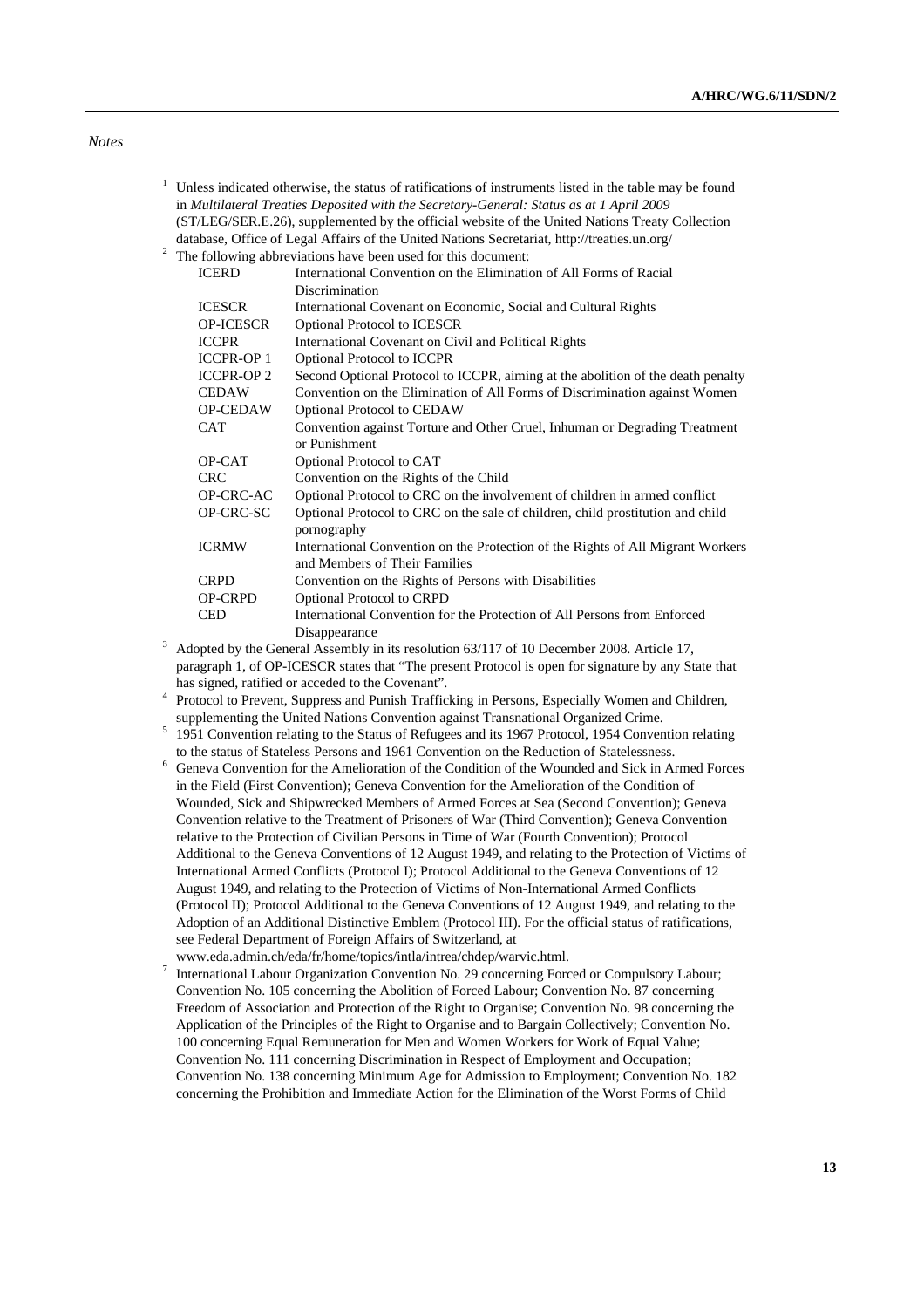### *Notes*

- <sup>1</sup> Unless indicated otherwise, the status of ratifications of instruments listed in the table may be found in *Multilateral Treaties Deposited with the Secretary-General: Status as at 1 April 2009* (ST/LEG/SER.E.26), supplemented by the official website of the United Nations Treaty Collection database, Office of Legal Affairs of the United Nations Secretariat, http://treaties.un.org/ 2
- $2\degree$  The following abbreviations have been used for this document:

| <b>ICERD</b>      | International Convention on the Elimination of All Forms of Racial                        |
|-------------------|-------------------------------------------------------------------------------------------|
|                   | Discrimination                                                                            |
| <b>ICESCR</b>     | International Covenant on Economic, Social and Cultural Rights                            |
| <b>OP-ICESCR</b>  | <b>Optional Protocol to ICESCR</b>                                                        |
| <b>ICCPR</b>      | International Covenant on Civil and Political Rights                                      |
| <b>ICCPR-OP 1</b> | <b>Optional Protocol to ICCPR</b>                                                         |
| <b>ICCPR-OP 2</b> | Second Optional Protocol to ICCPR, aiming at the abolition of the death penalty           |
| <b>CEDAW</b>      | Convention on the Elimination of All Forms of Discrimination against Women                |
| <b>OP-CEDAW</b>   | <b>Optional Protocol to CEDAW</b>                                                         |
| <b>CAT</b>        | Convention against Torture and Other Cruel, Inhuman or Degrading Treatment                |
|                   | or Punishment                                                                             |
| OP-CAT            | Optional Protocol to CAT                                                                  |
| <b>CRC</b>        | Convention on the Rights of the Child                                                     |
| OP-CRC-AC         | Optional Protocol to CRC on the involvement of children in armed conflict                 |
| OP-CRC-SC         | Optional Protocol to CRC on the sale of children, child prostitution and child            |
|                   | pornography                                                                               |
| <b>ICRMW</b>      | International Convention on the Protection of the Rights of All Migrant Workers           |
|                   | and Members of Their Families                                                             |
| <b>CRPD</b>       | Convention on the Rights of Persons with Disabilities                                     |
| <b>OP-CRPD</b>    | Optional Protocol to CRPD                                                                 |
| <b>CED</b>        | International Convention for the Protection of All Persons from Enforced                  |
|                   | Disappearance                                                                             |
|                   | Adopted by the General Assembly in its resolution 63/117 of 10 December 2008. Article 17, |

paragraph 1, of OP-ICESCR states that "The present Protocol is open for signature by any State that has signed, ratified or acceded to the Covenant".

<sup>4</sup> Protocol to Prevent, Suppress and Punish Trafficking in Persons, Especially Women and Children, supplementing the United Nations Convention against Transnational Organized Crime. 5

<sup>5</sup> 1951 Convention relating to the Status of Refugees and its 1967 Protocol, 1954 Convention relating to the status of Stateless Persons and 1961 Convention on the Reduction of Statelessness.

- $6$  Geneva Convention for the Amelioration of the Condition of the Wounded and Sick in Armed Forces in the Field (First Convention); Geneva Convention for the Amelioration of the Condition of Wounded, Sick and Shipwrecked Members of Armed Forces at Sea (Second Convention); Geneva Convention relative to the Treatment of Prisoners of War (Third Convention); Geneva Convention relative to the Protection of Civilian Persons in Time of War (Fourth Convention); Protocol Additional to the Geneva Conventions of 12 August 1949, and relating to the Protection of Victims of International Armed Conflicts (Protocol I); Protocol Additional to the Geneva Conventions of 12 August 1949, and relating to the Protection of Victims of Non-International Armed Conflicts (Protocol II); Protocol Additional to the Geneva Conventions of 12 August 1949, and relating to the Adoption of an Additional Distinctive Emblem (Protocol III). For the official status of ratifications, see Federal Department of Foreign Affairs of Switzerland, at
- www.eda.admin.ch/eda/fr/home/topics/intla/intrea/chdep/warvic.html.<br>7 International Lebeur Organization Convention No. 20 concerning Form International Labour Organization Convention No. 29 concerning Forced or Compulsory Labour; Convention No. 105 concerning the Abolition of Forced Labour; Convention No. 87 concerning Freedom of Association and Protection of the Right to Organise; Convention No. 98 concerning the Application of the Principles of the Right to Organise and to Bargain Collectively; Convention No. 100 concerning Equal Remuneration for Men and Women Workers for Work of Equal Value; Convention No. 111 concerning Discrimination in Respect of Employment and Occupation; Convention No. 138 concerning Minimum Age for Admission to Employment; Convention No. 182 concerning the Prohibition and Immediate Action for the Elimination of the Worst Forms of Child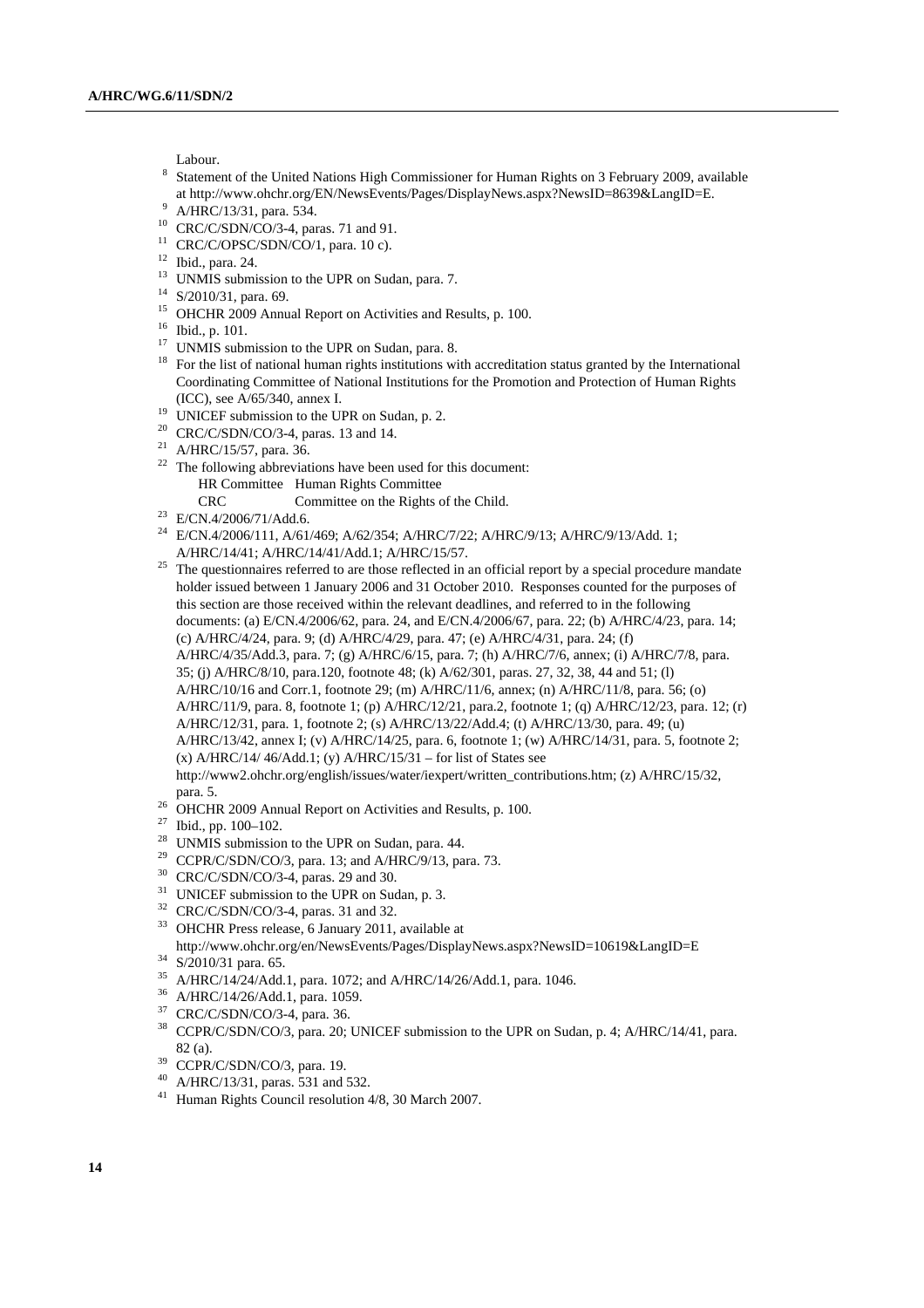Labour.

- <sup>8</sup> Statement of the United Nations High Commissioner for Human Rights on 3 February 2009, available at http://www.ohchr.org/EN/NewsEvents/Pages/DisplayNews.aspx?NewsID=8639&LangID=E. 9
- A/HRC/13/31, para. 534.
- 10 CRC/C/SDN/CO/3-4, paras. 71 and 91.
- $11$  CRC/C/OPSC/SDN/CO/1, para. 10 c).
- 12 Ibid., para. 24.
- <sup>13</sup> UNMIS submission to the UPR on Sudan, para. 7.<br><sup>14</sup> S/2010/31, para. 69.
- 
- <sup>15</sup> OHCHR 2009 Annual Report on Activities and Results, p. 100.
- 
- $^{16}$  Ibid., p. 101.<br><sup>17</sup> UNMIS submission to the UPR on Sudan, para. 8.
- $18$  For the list of national human rights institutions with accreditation status granted by the International Coordinating Committee of National Institutions for the Promotion and Protection of Human Rights (ICC), see A/65/340, annex I.<br><sup>19</sup> UNICEF submission to the UPR on Sudan, p. 2.
- 
- <sup>20</sup> CRC/C/SDN/CO/3-4, paras. 13 and 14.
- 21 A/HRC/15/57, para. 36.
- $22$  The following abbreviations have been used for this document: HR Committee Human Rights Committee
- CRC Committee on the Rights of the Child. 23 E/CN.4/2006/71/Add.6.
- 
- <sup>24</sup> E/CN.4/2006/111, A/61/469; A/62/354; A/HRC/7/22; A/HRC/9/13; A/HRC/9/13/Add. 1; A/HRC/14/41; A/HRC/14/41/Add.1; A/HRC/15/57.<br><sup>25</sup> The questionnaires referred to are those reflected in an official report by a special procedure mandate
- holder issued between 1 January 2006 and 31 October 2010. Responses counted for the purposes of this section are those received within the relevant deadlines, and referred to in the following documents: (a) E/CN.4/2006/62, para. 24, and E/CN.4/2006/67, para. 22; (b) A/HRC/4/23, para. 14; (c) A/HRC/4/24, para. 9; (d) A/HRC/4/29, para. 47; (e) A/HRC/4/31, para. 24; (f) A/HRC/4/35/Add.3, para. 7; (g) A/HRC/6/15, para. 7; (h) A/HRC/7/6, annex; (i) A/HRC/7/8, para. 35; (j) A/HRC/8/10, para.120, footnote 48; (k) A/62/301, paras. 27, 32, 38, 44 and 51; (l) A/HRC/10/16 and Corr.1, footnote 29; (m) A/HRC/11/6, annex; (n) A/HRC/11/8, para. 56; (o) A/HRC/11/9, para. 8, footnote 1; (p) A/HRC/12/21, para.2, footnote 1; (q) A/HRC/12/23, para. 12; (r) A/HRC/12/31, para. 1, footnote 2; (s) A/HRC/13/22/Add.4; (t) A/HRC/13/30, para. 49; (u) A/HRC/13/42, annex I; (v) A/HRC/14/25, para. 6, footnote 1; (w) A/HRC/14/31, para. 5, footnote 2; (x) A/HRC/14/  $46$ /Add.1; (y) A/HRC/15/31 – for list of States see http://www2.ohchr.org/english/issues/water/iexpert/written\_contributions.htm; (z) A/HRC/15/32, para. 5. 26 OHCHR 2009 Annual Report on Activities and Results, p. 100.
- 
- 
- $^{27}$  Ibid., pp. 100–102.<br><sup>28</sup> UNMIS submission to the UPR on Sudan, para. 44.
- <sup>29</sup> CCPR/C/SDN/CO/3, para. 13; and A/HRC/9/13, para. 73.<br><sup>30</sup> CRC/C/SDN/CO/3-4, paras. 29 and 30.
- 
- $31$  UNICEF submission to the UPR on Sudan, p. 3.
- 32 CRC/C/SDN/CO/3-4, paras. 31 and 32.
- 33 OHCHR Press release, 6 January 2011, available at <code>http://www.ohchr.org/en/NewsEvents/Pages/DisplayNews.aspx?NewsID=10619&LangID=E $^{34}\,$ S/2010/31 para. 65.</code>
- 
- <sup>35</sup> A/HRC/14/24/Add.1, para. 1072; and A/HRC/14/26/Add.1, para. 1046.<br><sup>36</sup> A/HRC/14/26/Add.1, para. 1059.
- 
- 37 CRC/C/SDN/CO/3-4, para. 36.
- 38 CCPR/C/SDN/CO/3, para. 20; UNICEF submission to the UPR on Sudan, p. 4; A/HRC/14/41, para. 82 (a).<br><sup>39</sup> CCPR/C/SDN/CO/3, para. 19.
- 
- 40 A/HRC/13/31, paras. 531 and 532.
- 41 Human Rights Council resolution 4/8, 30 March 2007.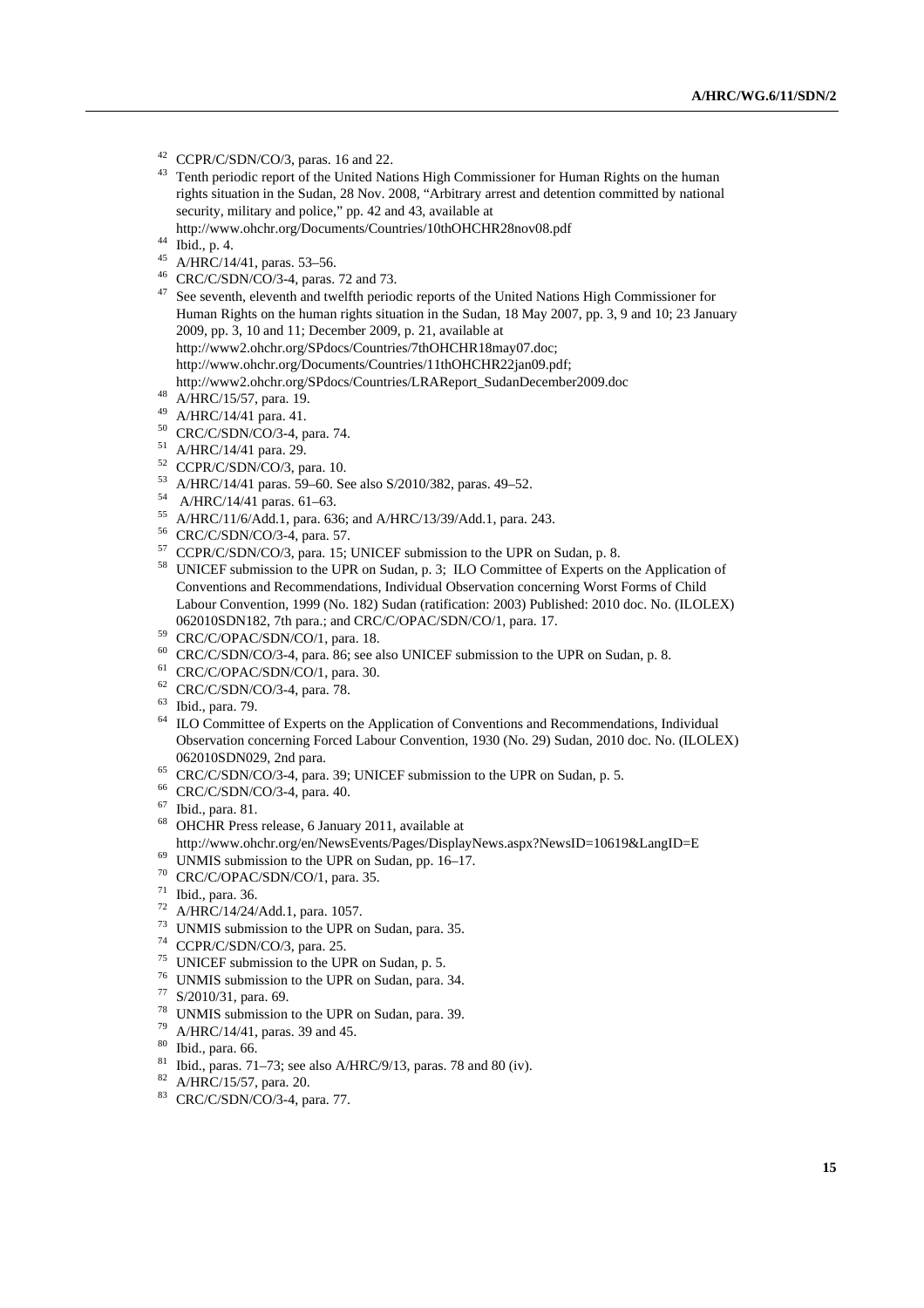- 42 CCPR/C/SDN/CO/3, paras. 16 and 22.
- <sup>43</sup> Tenth periodic report of the United Nations High Commissioner for Human Rights on the human rights situation in the Sudan, 28 Nov. 2008, "Arbitrary arrest and detention committed by national security, military and police," pp. 42 and 43, available at
- http://www.ohchr.org/Documents/Countries/10thOHCHR28nov08.pdf 44 Ibid., p. 4.
- 
- $45$  A/HRC/14/41, paras. 53–56.
- 46 CRC/C/SDN/CO/3-4, paras. 72 and 73.
- <sup>47</sup> See seventh, eleventh and twelfth periodic reports of the United Nations High Commissioner for Human Rights on the human rights situation in the Sudan, 18 May 2007, pp. 3, 9 and 10; 23 January 2009, pp. 3, 10 and 11; December 2009, p. 21, available at http://www2.ohchr.org/SPdocs/Countries/7thOHCHR18may07.doc; http://www.ohchr.org/Documents/Countries/11thOHCHR22jan09.pdf; http://www2.ohchr.org/SPdocs/Countries/LRAReport\_SudanDecember2009.doc 48 A/HRC/15/57, para. 19.
- 
- 49 A/HRC/14/41 para. 41.
- 50 CRC/C/SDN/CO/3-4, para. 74.
- 51 A/HRC/14/41 para. 29.
- $52$  CCPR/C/SDN/CO/3, para. 10.
- 53 A/HRC/14/41 paras. 59–60. See also S/2010/382, paras. 49–52. 54 A/HRC/14/41 paras. 61–63.
- 
- 
- 
- <sup>55</sup> A/HRC/11/6/Add.1, para. 636; and A/HRC/13/39/Add.1, para. 243.<br><sup>56</sup> CRC/C/SDN/CO/3-4, para. 57.<br><sup>57</sup> CCPR/C/SDN/CO/3, para. 15; UNICEF submission to the UPR on Sudan, p. 8.
- <sup>58</sup> UNICEF submission to the UPR on Sudan, p. 3; ILO Committee of Experts on the Application of Conventions and Recommendations, Individual Observation concerning Worst Forms of Child Labour Convention, 1999 (No. 182) Sudan (ratification: 2003) Published: 2010 doc. No. (ILOLEX) 062010SDN182, 7th para.; and CRC/C/OPAC/SDN/CO/1, para. 17. 59 CRC/C/OPAC/SDN/CO/1, para. 18.
- 
- 60 CRC/C/SDN/CO/3-4, para. 86; see also UNICEF submission to the UPR on Sudan, p. 8. 61 CRC/C/OPAC/SDN/CO/1, para. 30.
- 
- 62 CRC/C/SDN/CO/3-4, para. 78.
- 63 Ibid., para. 79.
- <sup>64</sup> ILO Committee of Experts on the Application of Conventions and Recommendations, Individual Observation concerning Forced Labour Convention, 1930 (No. 29) Sudan, 2010 doc. No. (ILOLEX) 062010SDN029, 2nd para.<br>
<sup>65</sup> CRC/C/SDN/CO/3-4, para. 39; UNICEF submission to the UPR on Sudan, p. 5.<br>
<sup>66</sup> CRC/C/SDN/CO/3-4, para. 40.
- 
- 
- 67 Ibid., para. 81.
- 68 OHCHR Press release, 6 January 2011, available at
- http://www.ohchr.org/en/NewsEvents/Pages/DisplayNews.aspx?NewsID=10619&LangID=E 69 UNMIS submission to the UPR on Sudan, pp. 16–17.
- 
- 70 CRC/C/OPAC/SDN/CO/1, para. 35.
- 71 Ibid., para. 36.
- 72 A/HRC/14/24/Add.1, para. 1057.
- <sup>73</sup> UNMIS submission to the UPR on Sudan, para. 35.<br><sup>74</sup> CCPR/C/SDN/CO/3, para. 25.
- 
- 75 UNICEF submission to the UPR on Sudan, p. 5.
- <sup>76</sup> UNMIS submission to the UPR on Sudan, para. 34.<br> $^{77}$  S/2010/31, para. 69.
- 
- <sup>78</sup> UNMIS submission to the UPR on Sudan, para. 39.<br><sup>79</sup> A/HRC/14/41, paras. 39 and 45.
- 
- 80 Ibid., para. 66.
- <sup>81</sup> Ibid., paras. 71–73; see also A/HRC/9/13, paras. 78 and 80 (iv).<br><sup>82</sup> A/HRC/15/57, para. 20.
- 
- 83 CRC/C/SDN/CO/3-4, para. 77.